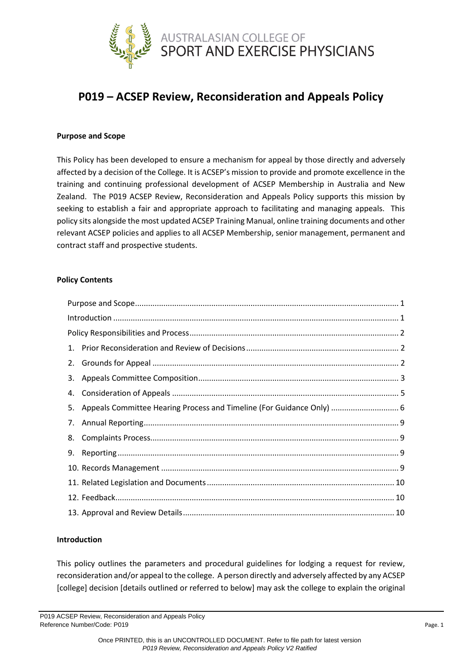

# **P019 – ACSEP Review, Reconsideration and Appeals Policy**

## <span id="page-0-0"></span>**Purpose and Scope**

This Policy has been developed to ensure a mechanism for appeal by those directly and adversely affected by a decision of the College. It is ACSEP's mission to provide and promote excellence in the training and continuing professional development of ACSEP Membership in Australia and New Zealand. The P019 ACSEP Review, Reconsideration and Appeals Policy supports this mission by seeking to establish a fair and appropriate approach to facilitating and managing appeals. This policy sits alongside the most updated ACSEP Training Manual, online training documents and other relevant ACSEP policies and applies to all ACSEP Membership, senior management, permanent and contract staff and prospective students.

## **Policy Contents**

|  | 5. Appeals Committee Hearing Process and Timeline (For Guidance Only)  6 |  |
|--|--------------------------------------------------------------------------|--|
|  |                                                                          |  |
|  |                                                                          |  |
|  |                                                                          |  |
|  |                                                                          |  |
|  |                                                                          |  |
|  |                                                                          |  |
|  |                                                                          |  |

## <span id="page-0-1"></span>**Introduction**

This policy outlines the parameters and procedural guidelines for lodging a request for review, reconsideration and/or appeal to the college. A person directly and adversely affected by any ACSEP [college] decision [details outlined or referred to below] may ask the college to explain the original

P019 ACSEP Review, Reconsideration and Appeals Policy Reference Number/Code: P019 Page. 1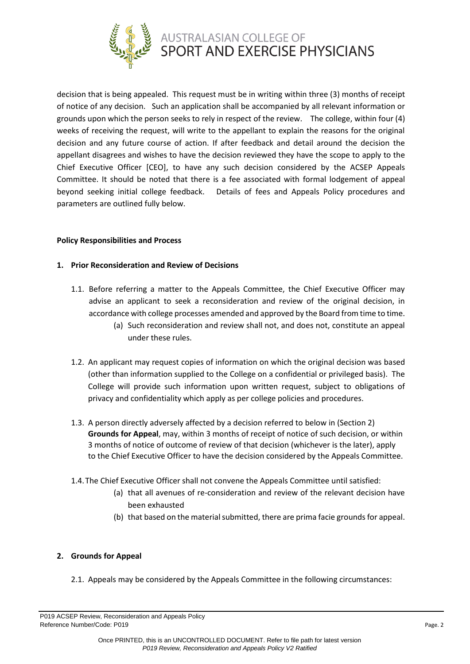

decision that is being appealed. This request must be in writing within three (3) months of receipt of notice of any decision. Such an application shall be accompanied by all relevant information or grounds upon which the person seeks to rely in respect of the review. The college, within four (4) weeks of receiving the request, will write to the appellant to explain the reasons for the original decision and any future course of action. If after feedback and detail around the decision the appellant disagrees and wishes to have the decision reviewed they have the scope to apply to the Chief Executive Officer [CEO], to have any such decision considered by the ACSEP Appeals Committee. It should be noted that there is a fee associated with formal lodgement of appeal beyond seeking initial college feedback. Details of fees and Appeals Policy procedures and parameters are outlined fully below.

## <span id="page-1-0"></span>**Policy Responsibilities and Process**

## <span id="page-1-1"></span>**1. Prior Reconsideration and Review of Decisions**

- 1.1. Before referring a matter to the Appeals Committee, the Chief Executive Officer may advise an applicant to seek a reconsideration and review of the original decision, in accordance with college processes amended and approved by the Board from time to time.
	- (a) Such reconsideration and review shall not, and does not, constitute an appeal under these rules.
- 1.2. An applicant may request copies of information on which the original decision was based (other than information supplied to the College on a confidential or privileged basis). The College will provide such information upon written request, subject to obligations of privacy and confidentiality which apply as per college policies and procedures.
- 1.3. A person directly adversely affected by a decision referred to below in (Section 2) **Grounds for Appeal**, may, within 3 months of receipt of notice of such decision, or within 3 months of notice of outcome of review of that decision (whichever is the later), apply to the Chief Executive Officer to have the decision considered by the Appeals Committee.
- 1.4.The Chief Executive Officer shall not convene the Appeals Committee until satisfied:
	- (a) that all avenues of re-consideration and review of the relevant decision have been exhausted
	- (b) that based on the material submitted, there are prima facie grounds for appeal.

## <span id="page-1-2"></span>**2. Grounds for Appeal**

2.1. Appeals may be considered by the Appeals Committee in the following circumstances:

P019 ACSEP Review, Reconsideration and Appeals Policy Reference Number/Code: P019 Page. 2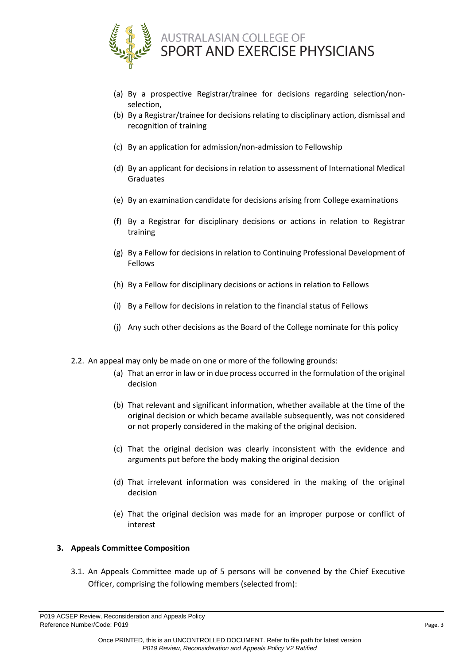

- (a) By a prospective Registrar/trainee for decisions regarding selection/nonselection,
- (b) By a Registrar/trainee for decisions relating to disciplinary action, dismissal and recognition of training
- (c) By an application for admission/non-admission to Fellowship
- (d) By an applicant for decisions in relation to assessment of International Medical Graduates
- (e) By an examination candidate for decisions arising from College examinations
- (f) By a Registrar for disciplinary decisions or actions in relation to Registrar training
- (g) By a Fellow for decisions in relation to Continuing Professional Development of Fellows
- (h) By a Fellow for disciplinary decisions or actions in relation to Fellows
- (i) By a Fellow for decisions in relation to the financial status of Fellows
- (j) Any such other decisions as the Board of the College nominate for this policy
- 2.2. An appeal may only be made on one or more of the following grounds:
	- (a) That an error in law or in due process occurred in the formulation of the original decision
	- (b) That relevant and significant information, whether available at the time of the original decision or which became available subsequently, was not considered or not properly considered in the making of the original decision.
	- (c) That the original decision was clearly inconsistent with the evidence and arguments put before the body making the original decision
	- (d) That irrelevant information was considered in the making of the original decision
	- (e) That the original decision was made for an improper purpose or conflict of interest

# <span id="page-2-0"></span>**3. Appeals Committee Composition**

3.1. An Appeals Committee made up of 5 persons will be convened by the Chief Executive Officer, comprising the following members (selected from):

P019 ACSEP Review, Reconsideration and Appeals Policy Reference Number/Code: P019 Page. 3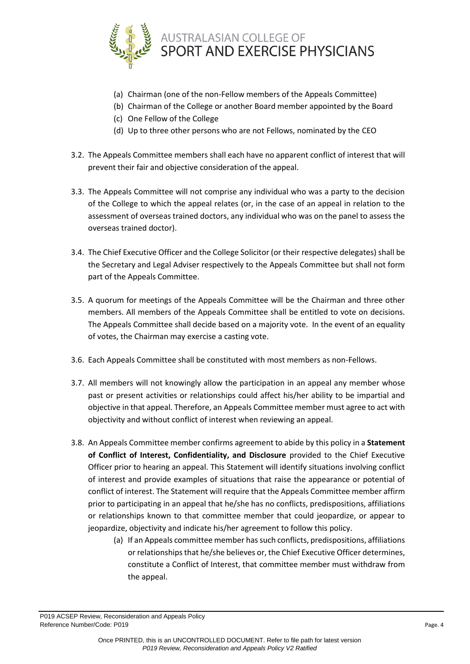

- (a) Chairman (one of the non-Fellow members of the Appeals Committee)
- (b) Chairman of the College or another Board member appointed by the Board
- (c) One Fellow of the College
- (d) Up to three other persons who are not Fellows, nominated by the CEO
- 3.2. The Appeals Committee members shall each have no apparent conflict of interest that will prevent their fair and objective consideration of the appeal.
- 3.3. The Appeals Committee will not comprise any individual who was a party to the decision of the College to which the appeal relates (or, in the case of an appeal in relation to the assessment of overseas trained doctors, any individual who was on the panel to assess the overseas trained doctor).
- 3.4. The Chief Executive Officer and the College Solicitor (or their respective delegates) shall be the Secretary and Legal Adviser respectively to the Appeals Committee but shall not form part of the Appeals Committee.
- 3.5. A quorum for meetings of the Appeals Committee will be the Chairman and three other members. All members of the Appeals Committee shall be entitled to vote on decisions. The Appeals Committee shall decide based on a majority vote. In the event of an equality of votes, the Chairman may exercise a casting vote.
- 3.6. Each Appeals Committee shall be constituted with most members as non-Fellows.
- 3.7. All members will not knowingly allow the participation in an appeal any member whose past or present activities or relationships could affect his/her ability to be impartial and objective in that appeal. Therefore, an Appeals Committee member must agree to act with objectivity and without conflict of interest when reviewing an appeal.
- 3.8. An Appeals Committee member confirms agreement to abide by this policy in a **Statement of Conflict of Interest, Confidentiality, and Disclosure** provided to the Chief Executive Officer prior to hearing an appeal. This Statement will identify situations involving conflict of interest and provide examples of situations that raise the appearance or potential of conflict of interest. The Statement will require that the Appeals Committee member affirm prior to participating in an appeal that he/she has no conflicts, predispositions, affiliations or relationships known to that committee member that could jeopardize, or appear to jeopardize, objectivity and indicate his/her agreement to follow this policy.
	- (a) If an Appeals committee member has such conflicts, predispositions, affiliations or relationships that he/she believes or, the Chief Executive Officer determines, constitute a Conflict of Interest, that committee member must withdraw from the appeal.

P019 ACSEP Review, Reconsideration and Appeals Policy Reference Number/Code: P019 Page. 4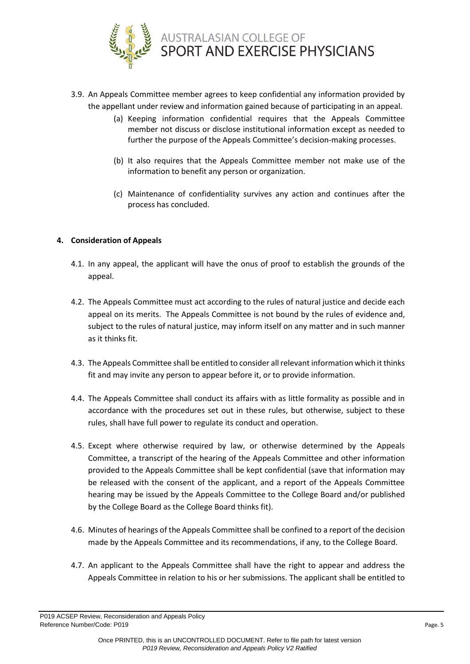

- 3.9. An Appeals Committee member agrees to keep confidential any information provided by the appellant under review and information gained because of participating in an appeal.
	- (a) Keeping information confidential requires that the Appeals Committee member not discuss or disclose institutional information except as needed to further the purpose of the Appeals Committee's decision-making processes.
	- (b) It also requires that the Appeals Committee member not make use of the information to benefit any person or organization.
	- (c) Maintenance of confidentiality survives any action and continues after the process has concluded.

# <span id="page-4-0"></span>**4. Consideration of Appeals**

- 4.1. In any appeal, the applicant will have the onus of proof to establish the grounds of the appeal.
- 4.2. The Appeals Committee must act according to the rules of natural justice and decide each appeal on its merits. The Appeals Committee is not bound by the rules of evidence and, subject to the rules of natural justice, may inform itself on any matter and in such manner as it thinks fit.
- 4.3. The Appeals Committee shall be entitled to consider all relevant information which it thinks fit and may invite any person to appear before it, or to provide information.
- 4.4. The Appeals Committee shall conduct its affairs with as little formality as possible and in accordance with the procedures set out in these rules, but otherwise, subject to these rules, shall have full power to regulate its conduct and operation.
- 4.5. Except where otherwise required by law, or otherwise determined by the Appeals Committee, a transcript of the hearing of the Appeals Committee and other information provided to the Appeals Committee shall be kept confidential (save that information may be released with the consent of the applicant, and a report of the Appeals Committee hearing may be issued by the Appeals Committee to the College Board and/or published by the College Board as the College Board thinks fit).
- 4.6. Minutes of hearings of the Appeals Committee shall be confined to a report of the decision made by the Appeals Committee and its recommendations, if any, to the College Board.
- 4.7. An applicant to the Appeals Committee shall have the right to appear and address the Appeals Committee in relation to his or her submissions. The applicant shall be entitled to

P019 ACSEP Review, Reconsideration and Appeals Policy Reference Number/Code: P019 Page. 5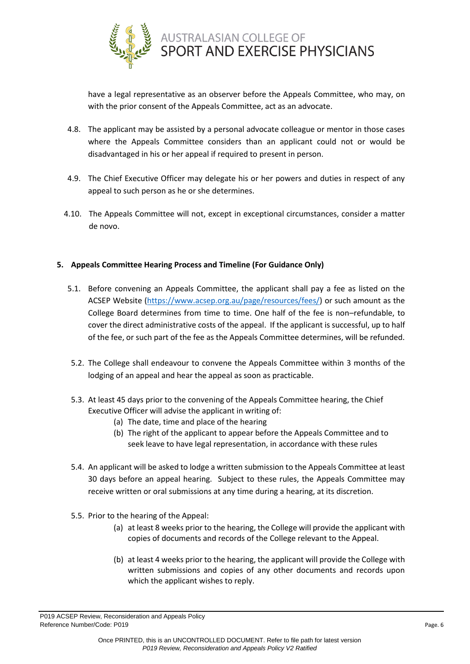

have a legal representative as an observer before the Appeals Committee, who may, on with the prior consent of the Appeals Committee, act as an advocate.

- 4.8. The applicant may be assisted by a personal advocate colleague or mentor in those cases where the Appeals Committee considers than an applicant could not or would be disadvantaged in his or her appeal if required to present in person.
- 4.9. The Chief Executive Officer may delegate his or her powers and duties in respect of any appeal to such person as he or she determines.
- 4.10. The Appeals Committee will not, except in exceptional circumstances, consider a matter de novo.

# <span id="page-5-0"></span>**5. Appeals Committee Hearing Process and Timeline (For Guidance Only)**

- 5.1. Before convening an Appeals Committee, the applicant shall pay a fee as listed on the ACSEP Website [\(https://www.acsep.org.au/page/resources/fees/\)](https://www.acsep.org.au/page/resources/fees/) or such amount as the College Board determines from time to time. One half of the fee is non–refundable, to cover the direct administrative costs of the appeal. If the applicant is successful, up to half of the fee, or such part of the fee as the Appeals Committee determines, will be refunded.
- 5.2. The College shall endeavour to convene the Appeals Committee within 3 months of the lodging of an appeal and hear the appeal as soon as practicable.
- 5.3. At least 45 days prior to the convening of the Appeals Committee hearing, the Chief Executive Officer will advise the applicant in writing of:
	- (a) The date, time and place of the hearing
	- (b) The right of the applicant to appear before the Appeals Committee and to seek leave to have legal representation, in accordance with these rules
- 5.4. An applicant will be asked to lodge a written submission to the Appeals Committee at least 30 days before an appeal hearing. Subject to these rules, the Appeals Committee may receive written or oral submissions at any time during a hearing, at its discretion.
- 5.5. Prior to the hearing of the Appeal:
	- (a) at least 8 weeks prior to the hearing, the College will provide the applicant with copies of documents and records of the College relevant to the Appeal.
	- (b) at least 4 weeks prior to the hearing, the applicant will provide the College with written submissions and copies of any other documents and records upon which the applicant wishes to reply.

P019 ACSEP Review, Reconsideration and Appeals Policy Reference Number/Code: P019 Page. 6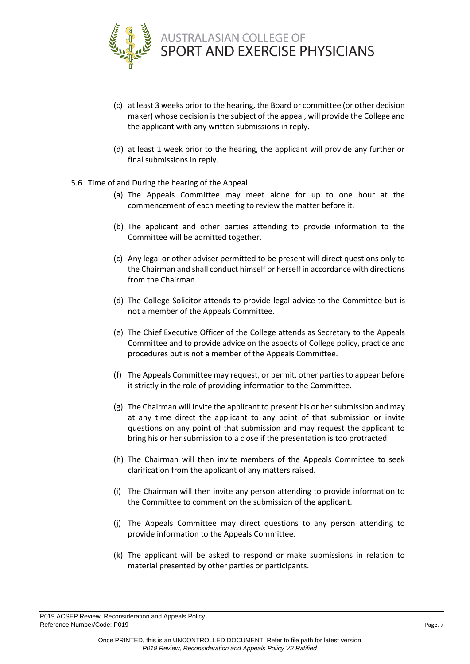

- (c) at least 3 weeks prior to the hearing, the Board or committee (or other decision maker) whose decision is the subject of the appeal, will provide the College and the applicant with any written submissions in reply.
- (d) at least 1 week prior to the hearing, the applicant will provide any further or final submissions in reply.
- 5.6. Time of and During the hearing of the Appeal
	- (a) The Appeals Committee may meet alone for up to one hour at the commencement of each meeting to review the matter before it.
	- (b) The applicant and other parties attending to provide information to the Committee will be admitted together.
	- (c) Any legal or other adviser permitted to be present will direct questions only to the Chairman and shall conduct himself or herself in accordance with directions from the Chairman.
	- (d) The College Solicitor attends to provide legal advice to the Committee but is not a member of the Appeals Committee.
	- (e) The Chief Executive Officer of the College attends as Secretary to the Appeals Committee and to provide advice on the aspects of College policy, practice and procedures but is not a member of the Appeals Committee.
	- (f) The Appeals Committee may request, or permit, other parties to appear before it strictly in the role of providing information to the Committee.
	- (g) The Chairman will invite the applicant to present his or her submission and may at any time direct the applicant to any point of that submission or invite questions on any point of that submission and may request the applicant to bring his or her submission to a close if the presentation is too protracted.
	- (h) The Chairman will then invite members of the Appeals Committee to seek clarification from the applicant of any matters raised.
	- (i) The Chairman will then invite any person attending to provide information to the Committee to comment on the submission of the applicant.
	- (j) The Appeals Committee may direct questions to any person attending to provide information to the Appeals Committee.
	- (k) The applicant will be asked to respond or make submissions in relation to material presented by other parties or participants.

P019 ACSEP Review, Reconsideration and Appeals Policy Reference Number/Code: P019 Page. 7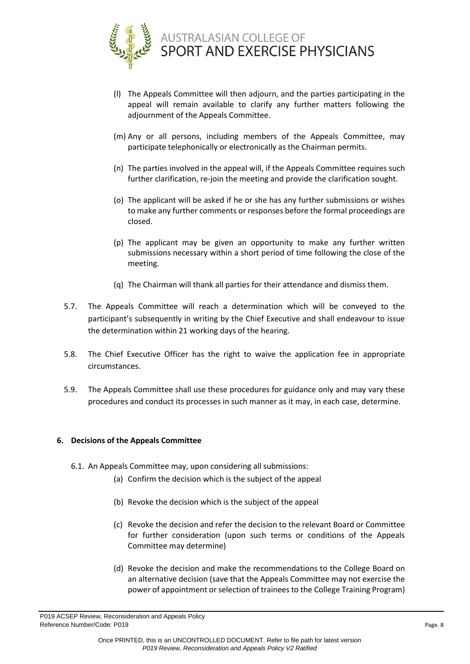

- (l) The Appeals Committee will then adjourn, and the parties participating in the appeal will remain available to clarify any further matters following the adjournment of the Appeals Committee.
- (m) Any or all persons, including members of the Appeals Committee, may participate telephonically or electronically as the Chairman permits.
- (n) The parties involved in the appeal will, if the Appeals Committee requires such further clarification, re-join the meeting and provide the clarification sought.
- (o) The applicant will be asked if he or she has any further submissions or wishes to make any further comments or responses before the formal proceedings are closed.
- (p) The applicant may be given an opportunity to make any further written submissions necessary within a short period of time following the close of the meeting.
- (q) The Chairman will thank all parties for their attendance and dismiss them.
- 5.7. The Appeals Committee will reach a determination which will be conveyed to the participant's subsequently in writing by the Chief Executive and shall endeavour to issue the determination within 21 working days of the hearing.
- 5.8. The Chief Executive Officer has the right to waive the application fee in appropriate circumstances.
- 5.9. The Appeals Committee shall use these procedures for guidance only and may vary these procedures and conduct its processes in such manner as it may, in each case, determine.

# **6. Decisions of the Appeals Committee**

- 6.1. An Appeals Committee may, upon considering all submissions:
	- (a) Confirm the decision which is the subject of the appeal
	- (b) Revoke the decision which is the subject of the appeal
	- (c) Revoke the decision and refer the decision to the relevant Board or Committee for further consideration (upon such terms or conditions of the Appeals Committee may determine)
	- (d) Revoke the decision and make the recommendations to the College Board on an alternative decision (save that the Appeals Committee may not exercise the power of appointment or selection of trainees to the College Training Program)

P019 ACSEP Review, Reconsideration and Appeals Policy Reference Number/Code: P019 Page. 8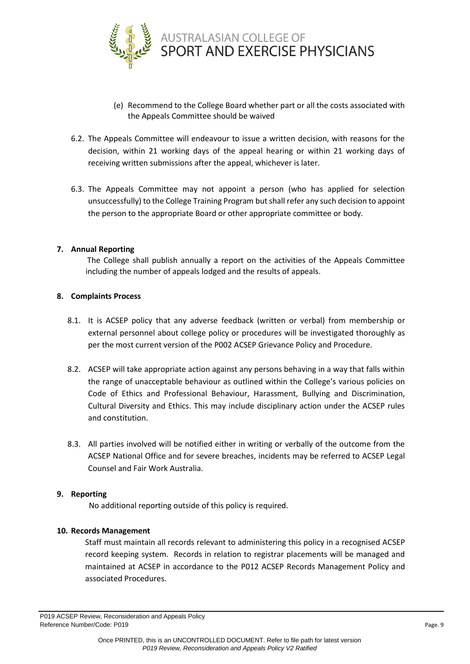

- (e) Recommend to the College Board whether part or all the costs associated with the Appeals Committee should be waived
- 6.2. The Appeals Committee will endeavour to issue a written decision, with reasons for the decision, within 21 working days of the appeal hearing or within 21 working days of receiving written submissions after the appeal, whichever is later.
- 6.3. The Appeals Committee may not appoint a person (who has applied for selection unsuccessfully) to the College Training Program but shall refer any such decision to appoint the person to the appropriate Board or other appropriate committee or body.

## <span id="page-8-0"></span>**7. Annual Reporting**

The College shall publish annually a report on the activities of the Appeals Committee including the number of appeals lodged and the results of appeals.

## <span id="page-8-1"></span>**8. Complaints Process**

- 8.1. It is ACSEP policy that any adverse feedback (written or verbal) from membership or external personnel about college policy or procedures will be investigated thoroughly as per the most current version of the P002 ACSEP Grievance Policy and Procedure.
- 8.2. ACSEP will take appropriate action against any persons behaving in a way that falls within the range of unacceptable behaviour as outlined within the College's various policies on Code of Ethics and Professional Behaviour, Harassment, Bullying and Discrimination, Cultural Diversity and Ethics. This may include disciplinary action under the ACSEP rules and constitution.
- 8.3. All parties involved will be notified either in writing or verbally of the outcome from the ACSEP National Office and for severe breaches, incidents may be referred to ACSEP Legal Counsel and Fair Work Australia.

## <span id="page-8-2"></span>**9. Reporting**

No additional reporting outside of this policy is required.

## <span id="page-8-3"></span>**10. Records Management**

Staff must maintain all records relevant to administering this policy in a recognised ACSEP record keeping system. Records in relation to registrar placements will be managed and maintained at ACSEP in accordance to the P012 ACSEP Records Management Policy and associated Procedures.

P019 ACSEP Review, Reconsideration and Appeals Policy Reference Number/Code: P019 Page. 9